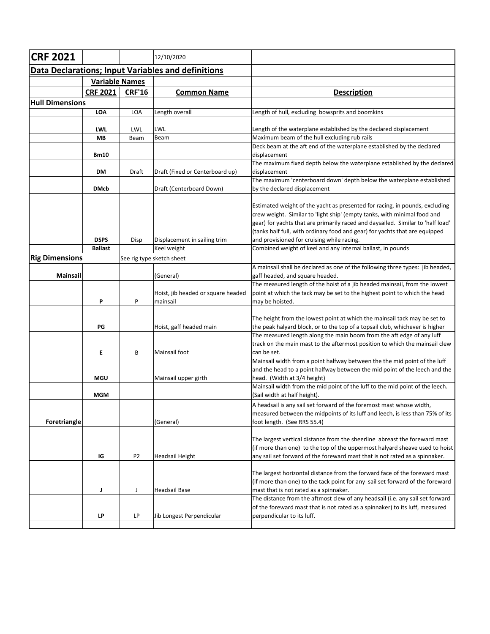| <b>CRF 2021</b>        |                       |                | 12/10/2020                                                |                                                                                                                  |
|------------------------|-----------------------|----------------|-----------------------------------------------------------|------------------------------------------------------------------------------------------------------------------|
|                        |                       |                | <b>Data Declarations; Input Variables and definitions</b> |                                                                                                                  |
|                        | <b>Variable Names</b> |                |                                                           |                                                                                                                  |
|                        | <b>CRF 2021</b>       | <b>CRF'16</b>  | <b>Common Name</b>                                        | <b>Description</b>                                                                                               |
| <b>Hull Dimensions</b> |                       |                |                                                           |                                                                                                                  |
|                        | <b>LOA</b>            | <b>LOA</b>     | Length overall                                            | Length of hull, excluding bowsprits and boomkins                                                                 |
|                        |                       |                |                                                           |                                                                                                                  |
|                        | <b>LWL</b>            | LWL            | LWL                                                       | Length of the waterplane established by the declared displacement                                                |
|                        | MВ                    | Beam           | Beam                                                      | Maximum beam of the hull excluding rub rails                                                                     |
|                        |                       |                |                                                           | Deck beam at the aft end of the waterplane established by the declared                                           |
|                        | <b>Bm10</b>           |                |                                                           | displacement<br>The maximum fixed depth below the waterplane established by the declared                         |
|                        | DM                    | Draft          | Draft (Fixed or Centerboard up)                           | displacement                                                                                                     |
|                        |                       |                |                                                           | The maximum 'centerboard down' depth below the waterplane established                                            |
|                        | <b>DMcb</b>           |                | Draft (Centerboard Down)                                  | by the declared displacement                                                                                     |
|                        |                       |                |                                                           |                                                                                                                  |
|                        |                       |                |                                                           | Estimated weight of the yacht as presented for racing, in pounds, excluding                                      |
|                        |                       |                |                                                           | crew weight. Similar to 'light ship' (empty tanks, with minimal food and                                         |
|                        |                       |                |                                                           | gear) for yachts that are primarily raced and daysailed. Similar to 'half load'                                  |
|                        |                       |                |                                                           | (tanks half full, with ordinary food and gear) for yachts that are equipped                                      |
|                        | <b>DSPS</b>           | Disp           | Displacement in sailing trim                              | and provisioned for cruising while racing.                                                                       |
|                        | <b>Ballast</b>        |                | Keel weight                                               | Combined weight of keel and any internal ballast, in pounds                                                      |
| <b>Rig Dimensions</b>  |                       |                | See rig type sketch sheet                                 |                                                                                                                  |
| Mainsail               |                       |                |                                                           | A mainsail shall be declared as one of the following three types: jib headed,<br>gaff headed, and square headed. |
|                        |                       |                | (General)                                                 | The measured length of the hoist of a jib headed mainsail, from the lowest                                       |
|                        |                       |                | Hoist, jib headed or square headed                        | point at which the tack may be set to the highest point to which the head                                        |
|                        | P                     | P              | mainsail                                                  | may be hoisted.                                                                                                  |
|                        |                       |                |                                                           |                                                                                                                  |
|                        |                       |                |                                                           | The height from the lowest point at which the mainsail tack may be set to                                        |
|                        | PG                    |                | Hoist, gaff headed main                                   | the peak halyard block, or to the top of a topsail club, whichever is higher                                     |
|                        |                       |                |                                                           | The measured length along the main boom from the aft edge of any luff                                            |
|                        |                       |                |                                                           | track on the main mast to the aftermost position to which the mainsail clew                                      |
|                        | Ε                     | В              | Mainsail foot                                             | can be set.<br>Mainsail width from a point halfway between the the mid point of the luff                         |
|                        |                       |                |                                                           | and the head to a point halfway between the mid point of the leech and the                                       |
|                        | <b>MGU</b>            |                | Mainsail upper girth                                      | head. (Width at 3/4 height)                                                                                      |
|                        |                       |                |                                                           | Mainsail width from the mid point of the luff to the mid point of the leech.                                     |
|                        | <b>MGM</b>            |                |                                                           | (Sail width at half height).                                                                                     |
|                        |                       |                |                                                           | A headsail is any sail set forward of the foremost mast whose width,                                             |
|                        |                       |                |                                                           | measured between the midpoints of its luff and leech, is less than 75% of its                                    |
| Foretriangle           |                       |                | (General)                                                 | foot length. (See RRS 55.4)                                                                                      |
|                        |                       |                |                                                           |                                                                                                                  |
|                        |                       |                |                                                           | The largest vertical distance from the sheerline abreast the foreward mast                                       |
|                        |                       |                |                                                           | (if more than one) to the top of the uppermost halyard sheave used to hoist                                      |
|                        | IG                    | P <sub>2</sub> | <b>Headsail Height</b>                                    | any sail set forward of the foreward mast that is not rated as a spinnaker.                                      |
|                        |                       |                |                                                           | The largest horizontal distance from the forward face of the foreward mast                                       |
|                        |                       |                |                                                           | (if more than one) to the tack point for any sail set forward of the foreward                                    |
|                        | J                     | J              | <b>Headsail Base</b>                                      | mast that is not rated as a spinnaker.                                                                           |
|                        |                       |                |                                                           | The distance from the aftmost clew of any headsail (i.e. any sail set forward                                    |
|                        |                       |                |                                                           | of the foreward mast that is not rated as a spinnaker) to its luff, measured                                     |
|                        | LP                    | LP             | Jib Longest Perpendicular                                 | perpendicular to its luff.                                                                                       |
|                        |                       |                |                                                           |                                                                                                                  |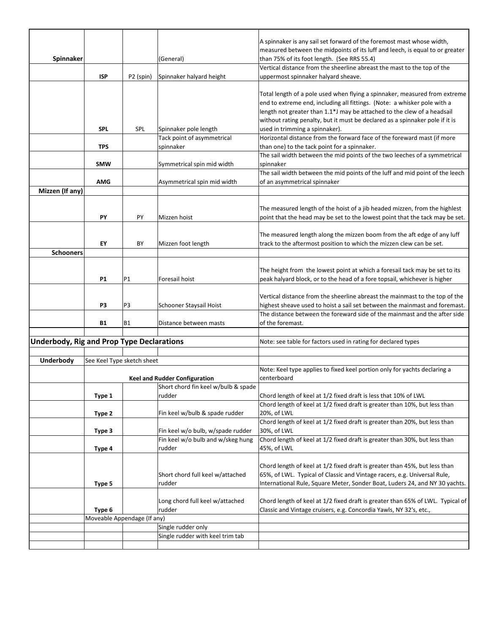|                                                  |                             |                       |                                      | A spinnaker is any sail set forward of the foremost mast whose width,          |
|--------------------------------------------------|-----------------------------|-----------------------|--------------------------------------|--------------------------------------------------------------------------------|
|                                                  |                             |                       |                                      | measured between the midpoints of its luff and leech, is equal to or greater   |
| Spinnaker                                        |                             |                       | (General)                            | than 75% of its foot length. (See RRS 55.4)                                    |
|                                                  |                             |                       |                                      | Vertical distance from the sheerline abreast the mast to the top of the        |
|                                                  | <b>ISP</b>                  | P <sub>2</sub> (spin) | Spinnaker halyard height             | uppermost spinnaker halyard sheave.                                            |
|                                                  |                             |                       |                                      |                                                                                |
|                                                  |                             |                       |                                      | Total length of a pole used when flying a spinnaker, measured from extreme     |
|                                                  |                             |                       |                                      | end to extreme end, including all fittings. (Note: a whisker pole with a       |
|                                                  |                             |                       |                                      | length not greater than 1.1*J may be attached to the clew of a headsail        |
|                                                  |                             |                       |                                      | without rating penalty, but it must be declared as a spinnaker pole if it is   |
|                                                  | <b>SPL</b>                  | SPL                   | Spinnaker pole length                | used in trimming a spinnaker).                                                 |
|                                                  |                             |                       | Tack point of asymmetrical           | Horizontal distance from the forward face of the foreward mast (if more        |
|                                                  | <b>TPS</b>                  |                       | spinnaker                            | than one) to the tack point for a spinnaker.                                   |
|                                                  |                             |                       |                                      | The sail width between the mid points of the two leeches of a symmetrical      |
|                                                  | <b>SMW</b>                  |                       | Symmetrical spin mid width           | spinnaker                                                                      |
|                                                  |                             |                       |                                      | The sail width between the mid points of the luff and mid point of the leech   |
|                                                  | <b>AMG</b>                  |                       | Asymmetrical spin mid width          | of an asymmetrical spinnaker                                                   |
| Mizzen (If any)                                  |                             |                       |                                      |                                                                                |
|                                                  |                             |                       |                                      |                                                                                |
|                                                  |                             |                       |                                      | The measured length of the hoist of a jib headed mizzen, from the highlest     |
|                                                  | PY                          | PY                    | Mizzen hoist                         | point that the head may be set to the lowest point that the tack may be set.   |
|                                                  |                             |                       |                                      |                                                                                |
|                                                  |                             |                       |                                      |                                                                                |
|                                                  |                             |                       |                                      | The measured length along the mizzen boom from the aft edge of any luff        |
|                                                  | EY                          | BY                    | Mizzen foot length                   | track to the aftermost position to which the mizzen clew can be set.           |
| <b>Schooners</b>                                 |                             |                       |                                      |                                                                                |
|                                                  |                             |                       |                                      |                                                                                |
|                                                  |                             |                       |                                      | The height from the lowest point at which a foresail tack may be set to its    |
|                                                  | <b>P1</b>                   | P1                    | Foresail hoist                       | peak halyard block, or to the head of a fore topsail, whichever is higher      |
|                                                  |                             |                       |                                      |                                                                                |
|                                                  |                             |                       |                                      | Vertical distance from the sheerline abreast the mainmast to the top of the    |
|                                                  | P <sub>3</sub>              | P3                    | Schooner Staysail Hoist              | highest sheave used to hoist a sail set between the mainmast and foremast.     |
|                                                  |                             |                       |                                      | The distance between the foreward side of the mainmast and the after side      |
|                                                  | <b>B1</b>                   | <b>B1</b>             | Distance between masts               | of the foremast.                                                               |
|                                                  |                             |                       |                                      |                                                                                |
| <b>Underbody, Rig and Prop Type Declarations</b> |                             |                       |                                      | Note: see table for factors used in rating for declared types                  |
|                                                  |                             |                       |                                      |                                                                                |
| Underbody                                        | See Keel Type sketch sheet  |                       |                                      |                                                                                |
|                                                  |                             |                       |                                      | Note: Keel type applies to fixed keel portion only for yachts declaring a      |
|                                                  |                             |                       | <b>Keel and Rudder Configuration</b> | centerboard                                                                    |
|                                                  |                             |                       | Short chord fin keel w/bulb & spade  |                                                                                |
|                                                  | Type 1                      |                       | rudder                               | Chord length of keel at 1/2 fixed draft is less that 10% of LWL                |
|                                                  |                             |                       |                                      | Chord length of keel at 1/2 fixed draft is greater than 10%, but less than     |
|                                                  | Type 2                      |                       | Fin keel w/bulb & spade rudder       | 20%, of LWL                                                                    |
|                                                  |                             |                       |                                      | Chord length of keel at 1/2 fixed draft is greater than 20%, but less than     |
|                                                  | Type 3                      |                       | Fin keel w/o bulb, w/spade rudder    | 30%, of LWL                                                                    |
|                                                  |                             |                       | Fin keel w/o bulb and w/skeg hung    | Chord length of keel at 1/2 fixed draft is greater than 30%, but less than     |
|                                                  | Type 4                      |                       | rudder                               | 45%, of LWL                                                                    |
|                                                  |                             |                       |                                      |                                                                                |
|                                                  |                             |                       |                                      | Chord length of keel at 1/2 fixed draft is greater than 45%, but less than     |
|                                                  |                             |                       | Short chord full keel w/attached     | 65%, of LWL. Typical of Classic and Vintage racers, e.g. Universal Rule,       |
|                                                  | Type 5                      |                       | rudder                               | International Rule, Square Meter, Sonder Boat, Luders 24, and NY 30 yachts.    |
|                                                  |                             |                       |                                      |                                                                                |
|                                                  |                             |                       | Long chord full keel w/attached      | Chord length of keel at 1/2 fixed draft is greater than 65% of LWL. Typical of |
|                                                  | Type 6                      |                       | rudder                               | Classic and Vintage cruisers, e.g. Concordia Yawls, NY 32's, etc.,             |
|                                                  | Moveable Appendage (If any) |                       |                                      |                                                                                |
|                                                  |                             |                       | Single rudder only                   |                                                                                |
|                                                  |                             |                       |                                      |                                                                                |
|                                                  |                             |                       | Single rudder with keel trim tab     |                                                                                |